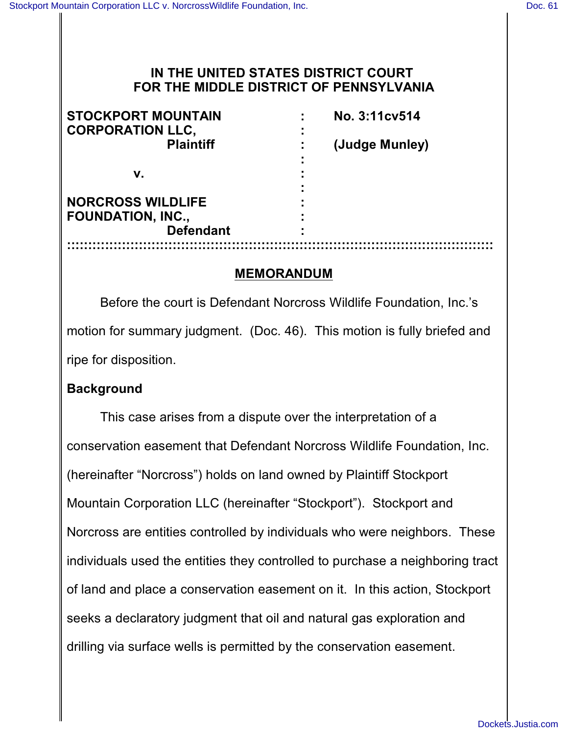### **IN THE UNITED STATES DISTRICT COURT FOR THE MIDDLE DISTRICT OF PENNSYLVANIA**

| <b>STOCKPORT MOUNTAIN</b><br><b>CORPORATION LLC,</b> | No. 3:11cv514  |
|------------------------------------------------------|----------------|
| <b>Plaintiff</b>                                     | (Judge Munley) |
| v.                                                   |                |
| <b>NORCROSS WILDLIFE</b>                             |                |
| <b>FOUNDATION, INC.,</b>                             |                |
| <b>Defendant</b>                                     |                |
|                                                      |                |

### **MEMORANDUM**

Before the court is Defendant Norcross Wildlife Foundation, Inc.'s motion for summary judgment. (Doc. 46). This motion is fully briefed and ripe for disposition.

#### **Background**

This case arises from a dispute over the interpretation of a conservation easement that Defendant Norcross Wildlife Foundation, Inc. (hereinafter "Norcross") holds on land owned by Plaintiff Stockport Mountain Corporation LLC (hereinafter "Stockport"). Stockport and Norcross are entities controlled by individuals who were neighbors. These individuals used the entities they controlled to purchase a neighboring tract of land and place a conservation easement on it. In this action, Stockport seeks a declaratory judgment that oil and natural gas exploration and drilling via surface wells is permitted by the conservation easement.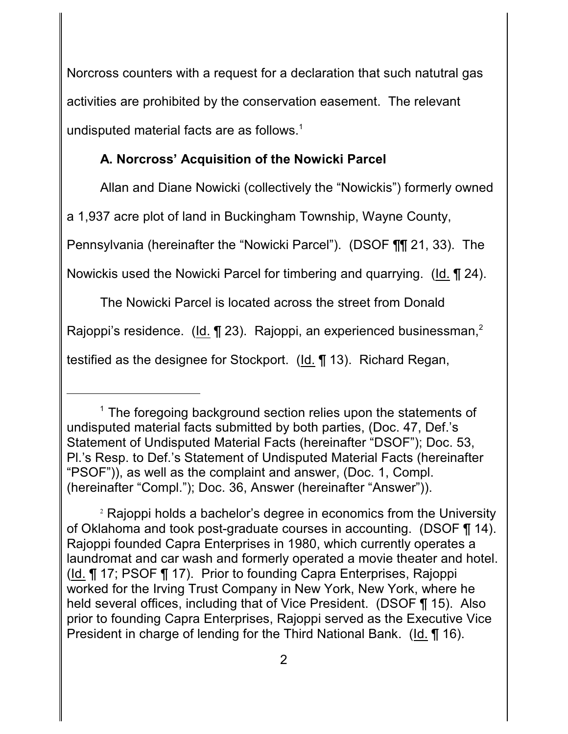Norcross counters with a request for a declaration that such natutral gas activities are prohibited by the conservation easement. The relevant undisputed material facts are as follows.<sup>1</sup>

# **A. Norcross' Acquisition of the Nowicki Parcel**

Allan and Diane Nowicki (collectively the "Nowickis") formerly owned

a 1,937 acre plot of land in Buckingham Township, Wayne County,

Pennsylvania (hereinafter the "Nowicki Parcel"). (DSOF ¶¶ 21, 33). The

Nowickis used the Nowicki Parcel for timbering and quarrying. (Id. ¶ 24).

The Nowicki Parcel is located across the street from Donald

Rajoppi's residence. ( $\underline{Id.} \P 23$ ). Rajoppi, an experienced businessman,<sup>2</sup>

testified as the designee for Stockport. (Id. ¶ 13). Richard Regan,

 $1$  The foregoing background section relies upon the statements of undisputed material facts submitted by both parties, (Doc. 47, Def.'s Statement of Undisputed Material Facts (hereinafter "DSOF"); Doc. 53, Pl.'s Resp. to Def.'s Statement of Undisputed Material Facts (hereinafter "PSOF")), as well as the complaint and answer, (Doc. 1, Compl. (hereinafter "Compl."); Doc. 36, Answer (hereinafter "Answer")).

<sup>&</sup>lt;sup>2</sup> Rajoppi holds a bachelor's degree in economics from the University of Oklahoma and took post-graduate courses in accounting. (DSOF ¶ 14). Rajoppi founded Capra Enterprises in 1980, which currently operates a laundromat and car wash and formerly operated a movie theater and hotel. (Id. ¶ 17; PSOF ¶ 17). Prior to founding Capra Enterprises, Rajoppi worked for the Irving Trust Company in New York, New York, where he held several offices, including that of Vice President. (DSOF ¶ 15). Also prior to founding Capra Enterprises, Rajoppi served as the Executive Vice President in charge of lending for the Third National Bank. (Id. ¶ 16).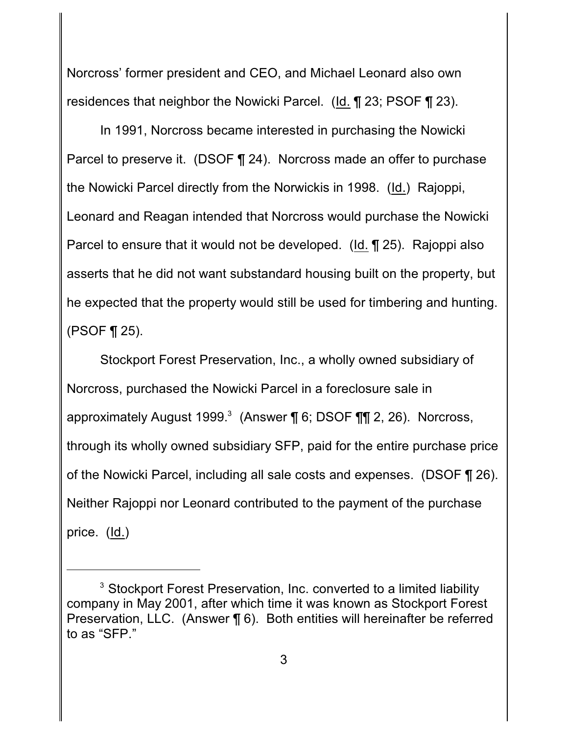Norcross' former president and CEO, and Michael Leonard also own residences that neighbor the Nowicki Parcel. (Id. ¶ 23; PSOF ¶ 23).

In 1991, Norcross became interested in purchasing the Nowicki Parcel to preserve it. (DSOF ¶ 24). Norcross made an offer to purchase the Nowicki Parcel directly from the Norwickis in 1998. (Id.) Rajoppi, Leonard and Reagan intended that Norcross would purchase the Nowicki Parcel to ensure that it would not be developed. (Id. ¶ 25). Rajoppi also asserts that he did not want substandard housing built on the property, but he expected that the property would still be used for timbering and hunting. (PSOF ¶ 25).

Stockport Forest Preservation, Inc., a wholly owned subsidiary of Norcross, purchased the Nowicki Parcel in a foreclosure sale in approximately August 1999.<sup>3</sup> (Answer ¶ 6; DSOF ¶ [ 2, 26). Norcross, through its wholly owned subsidiary SFP, paid for the entire purchase price of the Nowicki Parcel, including all sale costs and expenses. (DSOF ¶ 26). Neither Rajoppi nor Leonard contributed to the payment of the purchase price.  $(ld.)$ 

 $3$  Stockport Forest Preservation, Inc. converted to a limited liability company in May 2001, after which time it was known as Stockport Forest Preservation, LLC. (Answer ¶ 6). Both entities will hereinafter be referred to as "SFP."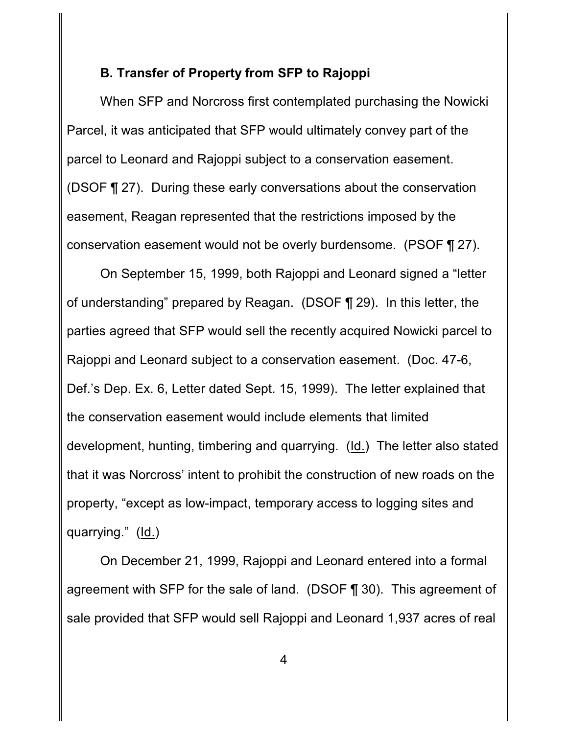#### **B. Transfer of Property from SFP to Rajoppi**

When SFP and Norcross first contemplated purchasing the Nowicki Parcel, it was anticipated that SFP would ultimately convey part of the parcel to Leonard and Rajoppi subject to a conservation easement. (DSOF ¶ 27). During these early conversations about the conservation easement, Reagan represented that the restrictions imposed by the conservation easement would not be overly burdensome. (PSOF ¶ 27).

On September 15, 1999, both Rajoppi and Leonard signed a "letter of understanding" prepared by Reagan. (DSOF ¶ 29). In this letter, the parties agreed that SFP would sell the recently acquired Nowicki parcel to Rajoppi and Leonard subject to a conservation easement. (Doc. 47-6, Def.'s Dep. Ex. 6, Letter dated Sept. 15, 1999). The letter explained that the conservation easement would include elements that limited development, hunting, timbering and quarrying. (Id.) The letter also stated that it was Norcross' intent to prohibit the construction of new roads on the property, "except as low-impact, temporary access to logging sites and quarrying." (Id.)

On December 21, 1999, Rajoppi and Leonard entered into a formal agreement with SFP for the sale of land. (DSOF ¶ 30). This agreement of sale provided that SFP would sell Rajoppi and Leonard 1,937 acres of real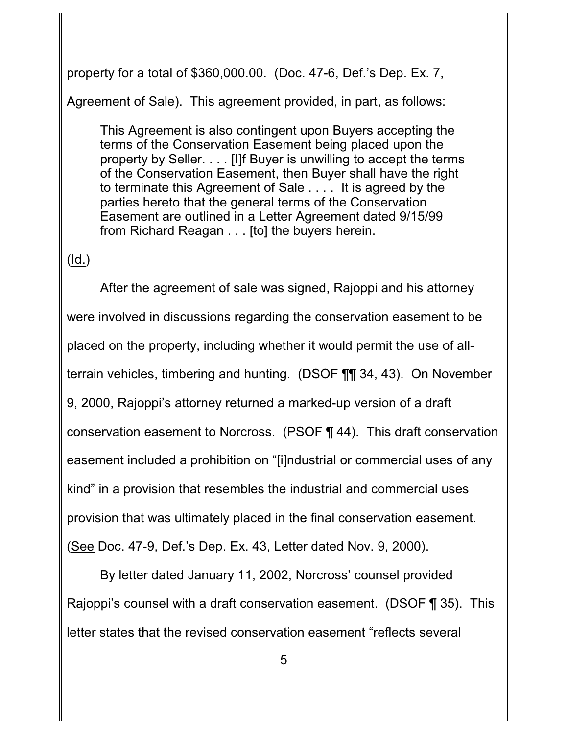property for a total of \$360,000.00. (Doc. 47-6, Def.'s Dep. Ex. 7,

Agreement of Sale). This agreement provided, in part, as follows:

This Agreement is also contingent upon Buyers accepting the terms of the Conservation Easement being placed upon the property by Seller. . . . [I]f Buyer is unwilling to accept the terms of the Conservation Easement, then Buyer shall have the right to terminate this Agreement of Sale . . . . It is agreed by the parties hereto that the general terms of the Conservation Easement are outlined in a Letter Agreement dated 9/15/99 from Richard Reagan . . . [to] the buyers herein.

## (Id.)

After the agreement of sale was signed, Rajoppi and his attorney were involved in discussions regarding the conservation easement to be placed on the property, including whether it would permit the use of allterrain vehicles, timbering and hunting. (DSOF ¶¶ 34, 43). On November 9, 2000, Rajoppi's attorney returned a marked-up version of a draft conservation easement to Norcross. (PSOF ¶ 44). This draft conservation easement included a prohibition on "[i]ndustrial or commercial uses of any kind" in a provision that resembles the industrial and commercial uses provision that was ultimately placed in the final conservation easement. (See Doc. 47-9, Def.'s Dep. Ex. 43, Letter dated Nov. 9, 2000).

By letter dated January 11, 2002, Norcross' counsel provided Rajoppi's counsel with a draft conservation easement. (DSOF ¶ 35). This letter states that the revised conservation easement "reflects several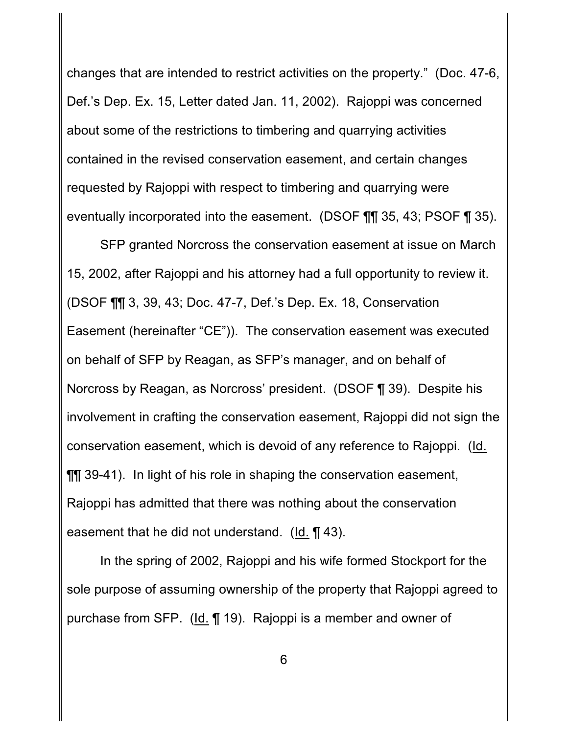changes that are intended to restrict activities on the property." (Doc. 47-6, Def.'s Dep. Ex. 15, Letter dated Jan. 11, 2002). Rajoppi was concerned about some of the restrictions to timbering and quarrying activities contained in the revised conservation easement, and certain changes requested by Rajoppi with respect to timbering and quarrying were eventually incorporated into the easement. (DSOF ¶¶ 35, 43; PSOF ¶ 35).

SFP granted Norcross the conservation easement at issue on March 15, 2002, after Rajoppi and his attorney had a full opportunity to review it. (DSOF ¶¶ 3, 39, 43; Doc. 47-7, Def.'s Dep. Ex. 18, Conservation Easement (hereinafter "CE")). The conservation easement was executed on behalf of SFP by Reagan, as SFP's manager, and on behalf of Norcross by Reagan, as Norcross' president. (DSOF ¶ 39). Despite his involvement in crafting the conservation easement, Rajoppi did not sign the conservation easement, which is devoid of any reference to Rajoppi. (Id. ¶¶ 39-41). In light of his role in shaping the conservation easement, Rajoppi has admitted that there was nothing about the conservation easement that he did not understand. (Id. ¶ 43).

In the spring of 2002, Rajoppi and his wife formed Stockport for the sole purpose of assuming ownership of the property that Rajoppi agreed to purchase from SFP. (Id. ¶ 19). Rajoppi is a member and owner of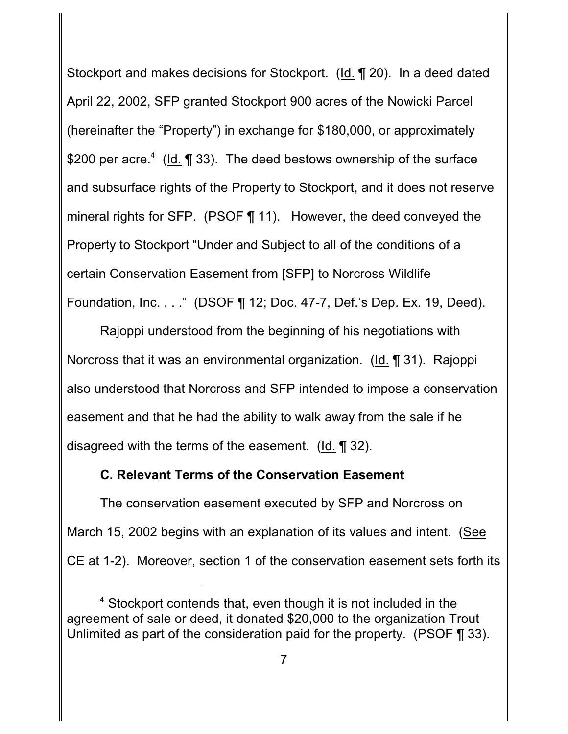Stockport and makes decisions for Stockport. (Id. ¶ 20). In a deed dated April 22, 2002, SFP granted Stockport 900 acres of the Nowicki Parcel (hereinafter the "Property") in exchange for \$180,000, or approximately \$200 per acre.<sup>4</sup> (Id.  $\P$  33). The deed bestows ownership of the surface and subsurface rights of the Property to Stockport, and it does not reserve mineral rights for SFP. (PSOF ¶ 11). However, the deed conveyed the Property to Stockport "Under and Subject to all of the conditions of a certain Conservation Easement from [SFP] to Norcross Wildlife Foundation, Inc. . . ." (DSOF ¶ 12; Doc. 47-7, Def.'s Dep. Ex. 19, Deed).

Rajoppi understood from the beginning of his negotiations with Norcross that it was an environmental organization. (Id. ¶ 31). Rajoppi also understood that Norcross and SFP intended to impose a conservation easement and that he had the ability to walk away from the sale if he disagreed with the terms of the easement. (Id. ¶ 32).

### **C. Relevant Terms of the Conservation Easement**

The conservation easement executed by SFP and Norcross on March 15, 2002 begins with an explanation of its values and intent. (See CE at 1-2). Moreover, section 1 of the conservation easement sets forth its

 $4$  Stockport contends that, even though it is not included in the agreement of sale or deed, it donated \$20,000 to the organization Trout Unlimited as part of the consideration paid for the property. (PSOF ¶ 33).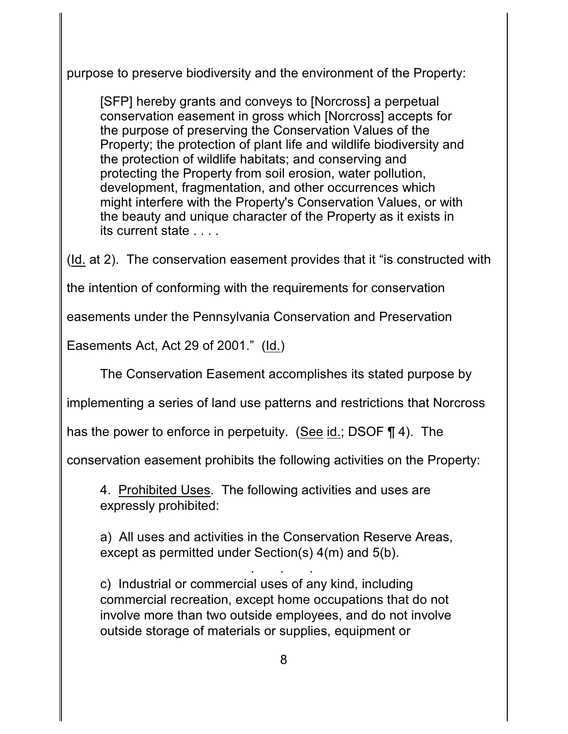purpose to preserve biodiversity and the environment of the Property:

[SFP] hereby grants and conveys to [Norcross] a perpetual conservation easement in gross which [Norcross] accepts for the purpose of preserving the Conservation Values of the Property; the protection of plant life and wildlife biodiversity and the protection of wildlife habitats; and conserving and protecting the Property from soil erosion, water pollution, development, fragmentation, and other occurrences which might interfere with the Property's Conservation Values, or with the beauty and unique character of the Property as it exists in its current state . . . .

(Id. at 2). The conservation easement provides that it "is constructed with

the intention of conforming with the requirements for conservation

easements under the Pennsylvania Conservation and Preservation

Easements Act, Act 29 of 2001." (Id.)

The Conservation Easement accomplishes its stated purpose by

implementing a series of land use patterns and restrictions that Norcross

has the power to enforce in perpetuity. (See id.; DSOF ¶ 4). The

conservation easement prohibits the following activities on the Property:

4. Prohibited Uses. The following activities and uses are expressly prohibited:

a) All uses and activities in the Conservation Reserve Areas, except as permitted under Section(s) 4(m) and 5(b).

. . . c) Industrial or commercial uses of any kind, including commercial recreation, except home occupations that do not involve more than two outside employees, and do not involve outside storage of materials or supplies, equipment or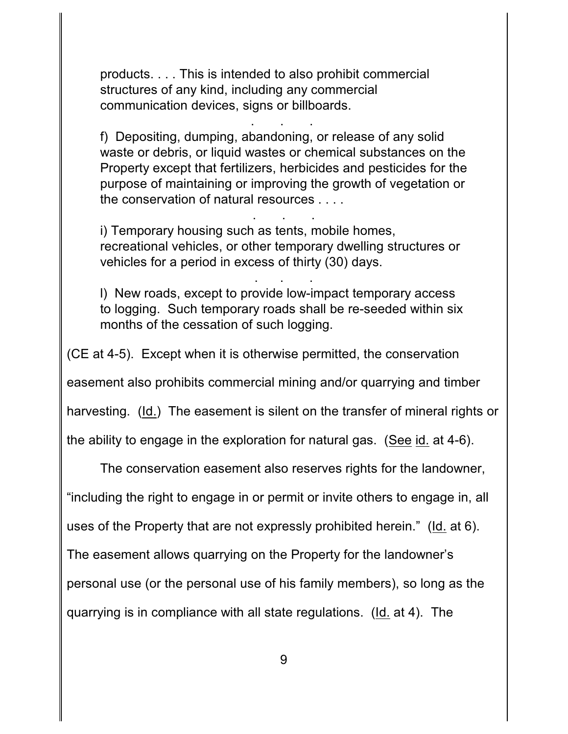products. . . . This is intended to also prohibit commercial structures of any kind, including any commercial communication devices, signs or billboards.

f) Depositing, dumping, abandoning, or release of any solid waste or debris, or liquid wastes or chemical substances on the Property except that fertilizers, herbicides and pesticides for the purpose of maintaining or improving the growth of vegetation or the conservation of natural resources . . . .

. . .

i) Temporary housing such as tents, mobile homes, recreational vehicles, or other temporary dwelling structures or vehicles for a period in excess of thirty (30) days.

. . .

l) New roads, except to provide low-impact temporary access to logging. Such temporary roads shall be re-seeded within six months of the cessation of such logging.

. . .

(CE at 4-5). Except when it is otherwise permitted, the conservation

easement also prohibits commercial mining and/or quarrying and timber

harvesting. (Id.) The easement is silent on the transfer of mineral rights or

the ability to engage in the exploration for natural gas. (See id. at 4-6).

The conservation easement also reserves rights for the landowner,

"including the right to engage in or permit or invite others to engage in, all

uses of the Property that are not expressly prohibited herein." (Id. at 6).

The easement allows quarrying on the Property for the landowner's

personal use (or the personal use of his family members), so long as the

quarrying is in compliance with all state regulations. (Id. at 4). The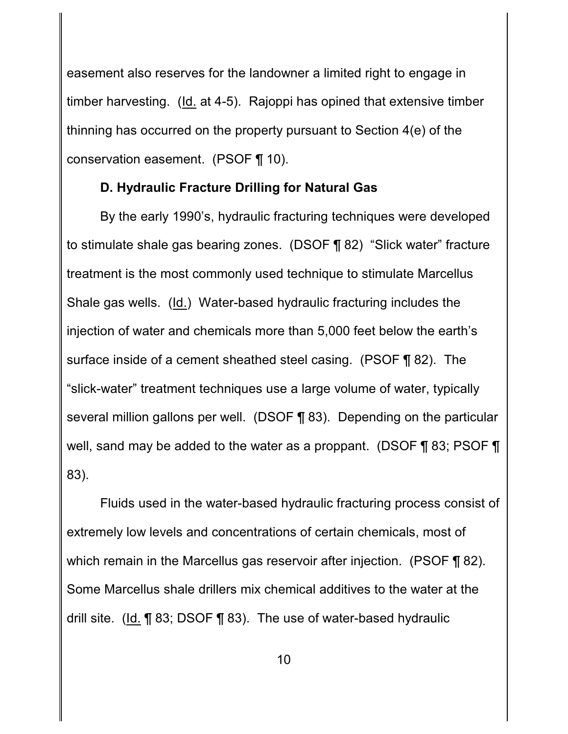easement also reserves for the landowner a limited right to engage in timber harvesting. (Id. at 4-5). Rajoppi has opined that extensive timber thinning has occurred on the property pursuant to Section 4(e) of the conservation easement. (PSOF ¶ 10).

### **D. Hydraulic Fracture Drilling for Natural Gas**

By the early 1990's, hydraulic fracturing techniques were developed to stimulate shale gas bearing zones. (DSOF ¶ 82) "Slick water" fracture treatment is the most commonly used technique to stimulate Marcellus Shale gas wells. (Id.) Water-based hydraulic fracturing includes the injection of water and chemicals more than 5,000 feet below the earth's surface inside of a cement sheathed steel casing. (PSOF ¶ 82). The "slick-water" treatment techniques use a large volume of water, typically several million gallons per well. (DSOF ¶ 83). Depending on the particular well, sand may be added to the water as a proppant. (DSOF ¶ 83; PSOF ¶ 83).

Fluids used in the water-based hydraulic fracturing process consist of extremely low levels and concentrations of certain chemicals, most of which remain in the Marcellus gas reservoir after injection. (PSOF ¶ 82). Some Marcellus shale drillers mix chemical additives to the water at the drill site. (Id. ¶ 83; DSOF ¶ 83). The use of water-based hydraulic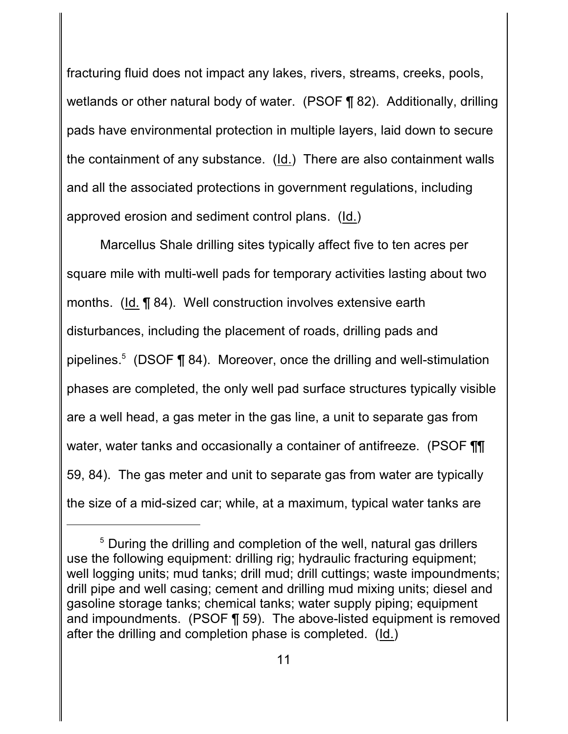fracturing fluid does not impact any lakes, rivers, streams, creeks, pools, wetlands or other natural body of water. (PSOF ¶ 82). Additionally, drilling pads have environmental protection in multiple layers, laid down to secure the containment of any substance. (Id.) There are also containment walls and all the associated protections in government regulations, including approved erosion and sediment control plans. (Id.)

Marcellus Shale drilling sites typically affect five to ten acres per square mile with multi-well pads for temporary activities lasting about two months. (Id. ¶ 84). Well construction involves extensive earth disturbances, including the placement of roads, drilling pads and pipelines. $5$  (DSOF ¶ 84). Moreover, once the drilling and well-stimulation phases are completed, the only well pad surface structures typically visible are a well head, a gas meter in the gas line, a unit to separate gas from water, water tanks and occasionally a container of antifreeze. (PSOF TI 59, 84). The gas meter and unit to separate gas from water are typically the size of a mid-sized car; while, at a maximum, typical water tanks are

 $5$  During the drilling and completion of the well, natural gas drillers use the following equipment: drilling rig; hydraulic fracturing equipment; well logging units; mud tanks; drill mud; drill cuttings; waste impoundments; drill pipe and well casing; cement and drilling mud mixing units; diesel and gasoline storage tanks; chemical tanks; water supply piping; equipment and impoundments. (PSOF ¶ 59). The above-listed equipment is removed after the drilling and completion phase is completed. (Id.)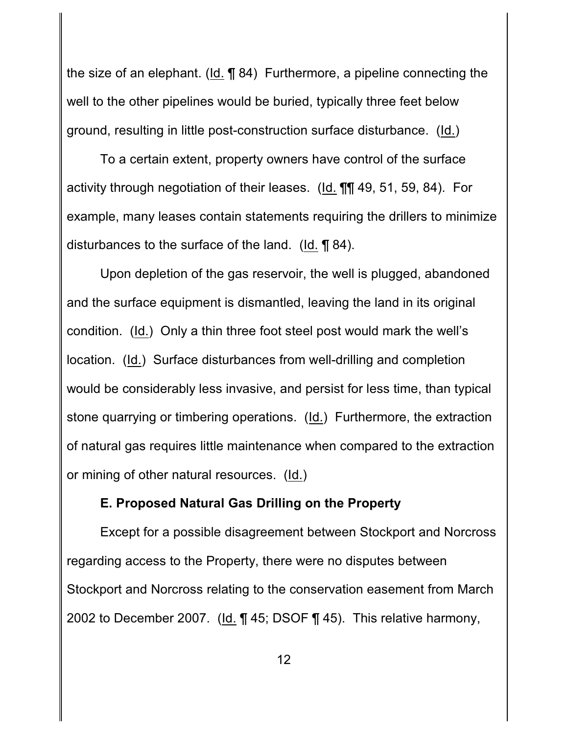the size of an elephant. (Id. ¶ 84) Furthermore, a pipeline connecting the well to the other pipelines would be buried, typically three feet below ground, resulting in little post-construction surface disturbance. (Id.)

To a certain extent, property owners have control of the surface activity through negotiation of their leases. (Id. ¶¶ 49, 51, 59, 84). For example, many leases contain statements requiring the drillers to minimize disturbances to the surface of the land. (Id. ¶ 84).

Upon depletion of the gas reservoir, the well is plugged, abandoned and the surface equipment is dismantled, leaving the land in its original condition. (Id.) Only a thin three foot steel post would mark the well's location. (Id.) Surface disturbances from well-drilling and completion would be considerably less invasive, and persist for less time, than typical stone quarrying or timbering operations. (Id.) Furthermore, the extraction of natural gas requires little maintenance when compared to the extraction or mining of other natural resources. (Id.)

#### **E. Proposed Natural Gas Drilling on the Property**

Except for a possible disagreement between Stockport and Norcross regarding access to the Property, there were no disputes between Stockport and Norcross relating to the conservation easement from March 2002 to December 2007. (Id. ¶ 45; DSOF ¶ 45). This relative harmony,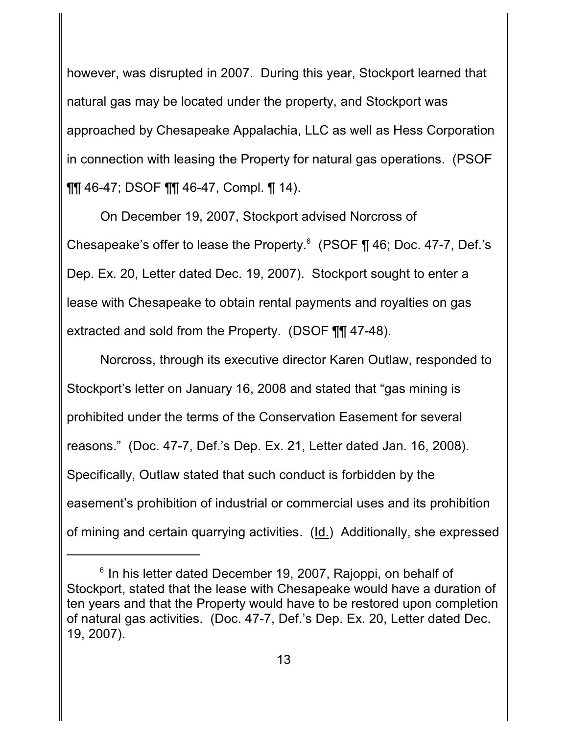however, was disrupted in 2007. During this year, Stockport learned that natural gas may be located under the property, and Stockport was approached by Chesapeake Appalachia, LLC as well as Hess Corporation in connection with leasing the Property for natural gas operations. (PSOF ¶¶ 46-47; DSOF ¶¶ 46-47, Compl. ¶ 14).

On December 19, 2007, Stockport advised Norcross of Chesapeake's offer to lease the Property. $6$  (PSOF ¶ 46; Doc. 47-7, Def.'s Dep. Ex. 20, Letter dated Dec. 19, 2007). Stockport sought to enter a lease with Chesapeake to obtain rental payments and royalties on gas extracted and sold from the Property. (DSOF ¶¶ 47-48).

Norcross, through its executive director Karen Outlaw, responded to Stockport's letter on January 16, 2008 and stated that "gas mining is prohibited under the terms of the Conservation Easement for several reasons." (Doc. 47-7, Def.'s Dep. Ex. 21, Letter dated Jan. 16, 2008). Specifically, Outlaw stated that such conduct is forbidden by the easement's prohibition of industrial or commercial uses and its prohibition of mining and certain quarrying activities. (Id.) Additionally, she expressed

 $6$  In his letter dated December 19, 2007, Rajoppi, on behalf of Stockport, stated that the lease with Chesapeake would have a duration of ten years and that the Property would have to be restored upon completion of natural gas activities. (Doc. 47-7, Def.'s Dep. Ex. 20, Letter dated Dec. 19, 2007).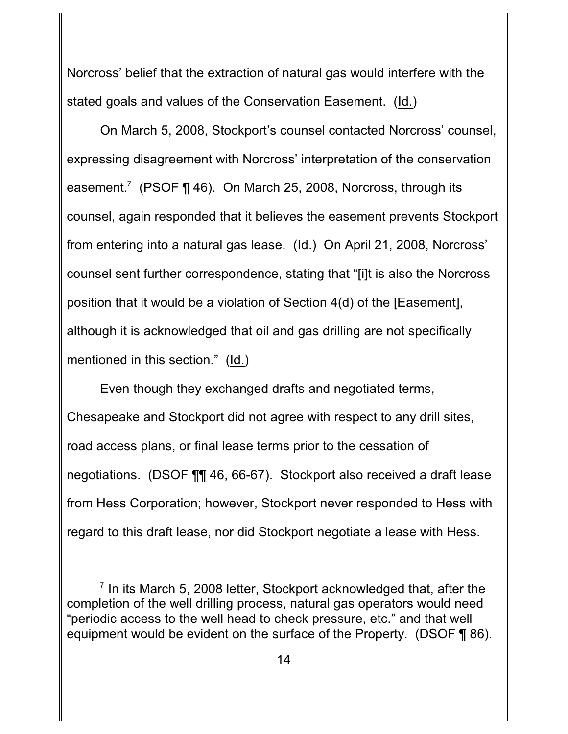Norcross' belief that the extraction of natural gas would interfere with the stated goals and values of the Conservation Easement. (Id.)

On March 5, 2008, Stockport's counsel contacted Norcross' counsel, expressing disagreement with Norcross' interpretation of the conservation easement.<sup>7</sup> (PSOF  $\P$  46). On March 25, 2008, Norcross, through its counsel, again responded that it believes the easement prevents Stockport from entering into a natural gas lease. (Id.) On April 21, 2008, Norcross' counsel sent further correspondence, stating that "[i]t is also the Norcross position that it would be a violation of Section 4(d) of the [Easement], although it is acknowledged that oil and gas drilling are not specifically mentioned in this section." (Id.)

Even though they exchanged drafts and negotiated terms, Chesapeake and Stockport did not agree with respect to any drill sites, road access plans, or final lease terms prior to the cessation of negotiations. (DSOF ¶¶ 46, 66-67). Stockport also received a draft lease from Hess Corporation; however, Stockport never responded to Hess with regard to this draft lease, nor did Stockport negotiate a lease with Hess.

 $\frac{7}{1}$  In its March 5, 2008 letter, Stockport acknowledged that, after the completion of the well drilling process, natural gas operators would need "periodic access to the well head to check pressure, etc." and that well equipment would be evident on the surface of the Property. (DSOF ¶ 86).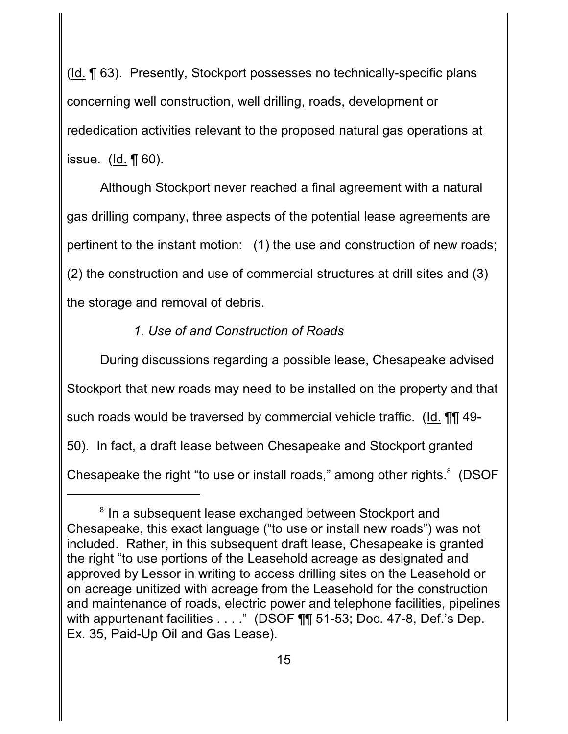(Id. ¶ 63). Presently, Stockport possesses no technically-specific plans concerning well construction, well drilling, roads, development or rededication activities relevant to the proposed natural gas operations at issue. ( $\text{Id.}$   $\P$  60).

Although Stockport never reached a final agreement with a natural gas drilling company, three aspects of the potential lease agreements are pertinent to the instant motion: (1) the use and construction of new roads; (2) the construction and use of commercial structures at drill sites and (3) the storage and removal of debris.

### *1. Use of and Construction of Roads*

During discussions regarding a possible lease, Chesapeake advised Stockport that new roads may need to be installed on the property and that such roads would be traversed by commercial vehicle traffic. (Id. ¶¶ 49- 50). In fact, a draft lease between Chesapeake and Stockport granted Chesapeake the right "to use or install roads," among other rights.<sup>8</sup> (DSOF

<sup>&</sup>lt;sup>8</sup> In a subsequent lease exchanged between Stockport and Chesapeake, this exact language ("to use or install new roads") was not included. Rather, in this subsequent draft lease, Chesapeake is granted the right "to use portions of the Leasehold acreage as designated and approved by Lessor in writing to access drilling sites on the Leasehold or on acreage unitized with acreage from the Leasehold for the construction and maintenance of roads, electric power and telephone facilities, pipelines with appurtenant facilities . . . ." (DSOF **[1]** 51-53; Doc. 47-8, Def.'s Dep. Ex. 35, Paid-Up Oil and Gas Lease).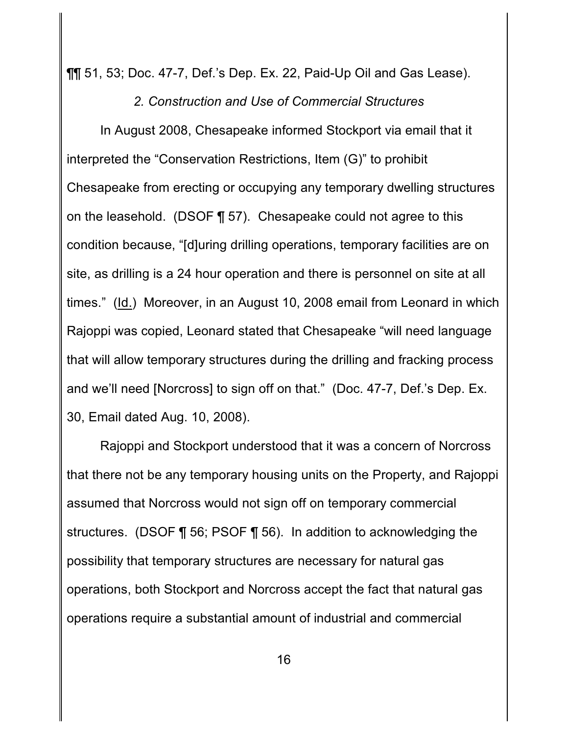¶¶ 51, 53; Doc. 47-7, Def.'s Dep. Ex. 22, Paid-Up Oil and Gas Lease).

*2. Construction and Use of Commercial Structures*

In August 2008, Chesapeake informed Stockport via email that it interpreted the "Conservation Restrictions, Item (G)" to prohibit Chesapeake from erecting or occupying any temporary dwelling structures on the leasehold. (DSOF ¶ 57). Chesapeake could not agree to this condition because, "[d]uring drilling operations, temporary facilities are on site, as drilling is a 24 hour operation and there is personnel on site at all times." (Id.) Moreover, in an August 10, 2008 email from Leonard in which Rajoppi was copied, Leonard stated that Chesapeake "will need language that will allow temporary structures during the drilling and fracking process and we'll need [Norcross] to sign off on that." (Doc. 47-7, Def.'s Dep. Ex. 30, Email dated Aug. 10, 2008).

Rajoppi and Stockport understood that it was a concern of Norcross that there not be any temporary housing units on the Property, and Rajoppi assumed that Norcross would not sign off on temporary commercial structures. (DSOF ¶ 56; PSOF ¶ 56). In addition to acknowledging the possibility that temporary structures are necessary for natural gas operations, both Stockport and Norcross accept the fact that natural gas operations require a substantial amount of industrial and commercial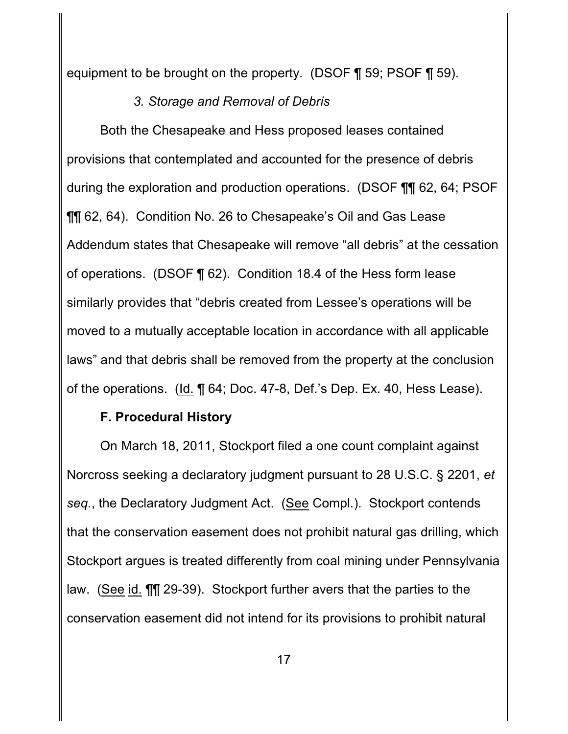equipment to be brought on the property. (DSOF ¶ 59; PSOF ¶ 59).

# *3. Storage and Removal of Debris*

Both the Chesapeake and Hess proposed leases contained provisions that contemplated and accounted for the presence of debris during the exploration and production operations. (DSOF ¶¶ 62, 64; PSOF ¶¶ 62, 64). Condition No. 26 to Chesapeake's Oil and Gas Lease Addendum states that Chesapeake will remove "all debris" at the cessation of operations. (DSOF ¶ 62). Condition 18.4 of the Hess form lease similarly provides that "debris created from Lessee's operations will be moved to a mutually acceptable location in accordance with all applicable laws" and that debris shall be removed from the property at the conclusion of the operations. (Id. ¶ 64; Doc. 47-8, Def.'s Dep. Ex. 40, Hess Lease).

# **F. Procedural History**

On March 18, 2011, Stockport filed a one count complaint against Norcross seeking a declaratory judgment pursuant to 28 U.S.C. § 2201, *et seq.*, the Declaratory Judgment Act. (See Compl.). Stockport contends that the conservation easement does not prohibit natural gas drilling, which Stockport argues is treated differently from coal mining under Pennsylvania law. (See id. ¶¶ 29-39). Stockport further avers that the parties to the conservation easement did not intend for its provisions to prohibit natural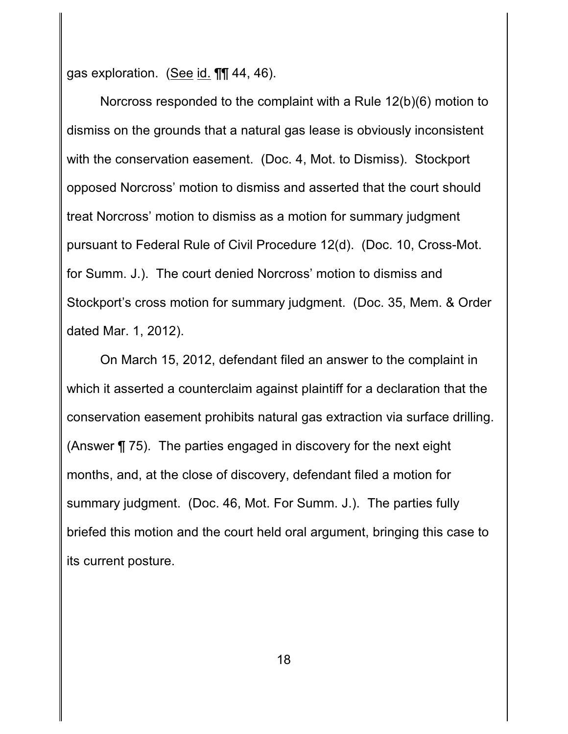gas exploration. (See id. ¶¶ 44, 46).

Norcross responded to the complaint with a Rule 12(b)(6) motion to dismiss on the grounds that a natural gas lease is obviously inconsistent with the conservation easement. (Doc. 4, Mot. to Dismiss). Stockport opposed Norcross' motion to dismiss and asserted that the court should treat Norcross' motion to dismiss as a motion for summary judgment pursuant to Federal Rule of Civil Procedure 12(d). (Doc. 10, Cross-Mot. for Summ. J.). The court denied Norcross' motion to dismiss and Stockport's cross motion for summary judgment. (Doc. 35, Mem. & Order dated Mar. 1, 2012).

On March 15, 2012, defendant filed an answer to the complaint in which it asserted a counterclaim against plaintiff for a declaration that the conservation easement prohibits natural gas extraction via surface drilling. (Answer ¶ 75). The parties engaged in discovery for the next eight months, and, at the close of discovery, defendant filed a motion for summary judgment. (Doc. 46, Mot. For Summ. J.). The parties fully briefed this motion and the court held oral argument, bringing this case to its current posture.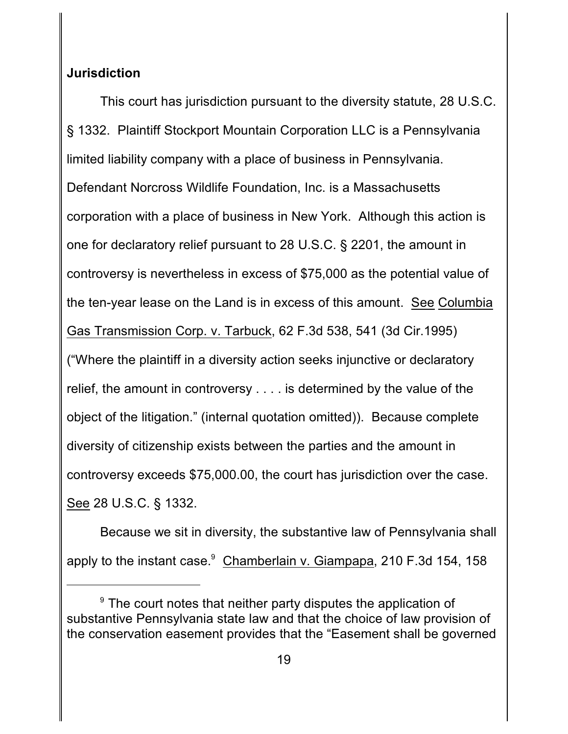## **Jurisdiction**

This court has jurisdiction pursuant to the diversity statute, 28 U.S.C. § 1332. Plaintiff Stockport Mountain Corporation LLC is a Pennsylvania limited liability company with a place of business in Pennsylvania. Defendant Norcross Wildlife Foundation, Inc. is a Massachusetts corporation with a place of business in New York. Although this action is one for declaratory relief pursuant to 28 U.S.C. § 2201, the amount in controversy is nevertheless in excess of \$75,000 as the potential value of the ten-year lease on the Land is in excess of this amount. See Columbia Gas Transmission Corp. v. Tarbuck, 62 F.3d 538, 541 (3d Cir.1995) ("Where the plaintiff in a diversity action seeks injunctive or declaratory relief, the amount in controversy . . . . is determined by the value of the object of the litigation." (internal quotation omitted)). Because complete diversity of citizenship exists between the parties and the amount in controversy exceeds \$75,000.00, the court has jurisdiction over the case. See 28 U.S.C. § 1332.

Because we sit in diversity, the substantive law of Pennsylvania shall apply to the instant case. $9$  Chamberlain v. Giampapa, 210 F.3d 154, 158

 $\degree$  The court notes that neither party disputes the application of substantive Pennsylvania state law and that the choice of law provision of the conservation easement provides that the "Easement shall be governed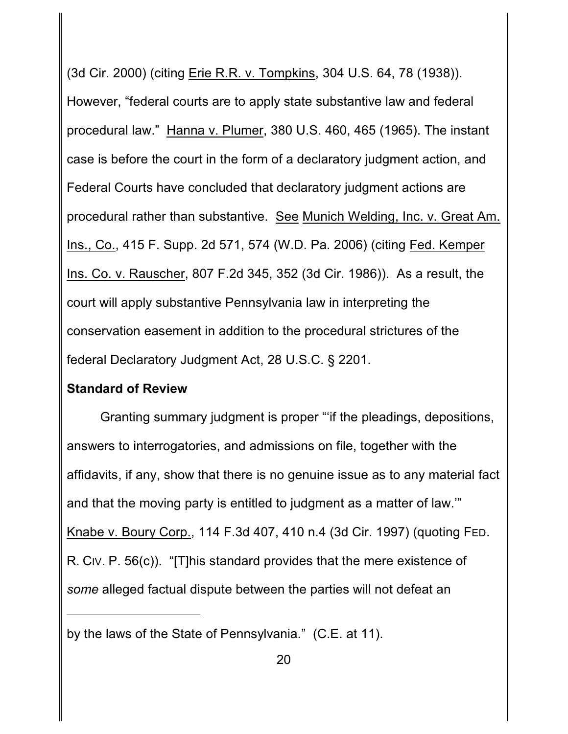(3d Cir. 2000) (citing Erie R.R. v. Tompkins, 304 U.S. 64, 78 (1938)). However, "federal courts are to apply state substantive law and federal procedural law." Hanna v. Plumer, 380 U.S. 460, 465 (1965). The instant case is before the court in the form of a declaratory judgment action, and Federal Courts have concluded that declaratory judgment actions are procedural rather than substantive. See Munich Welding, Inc. v. Great Am. Ins., Co., 415 F. Supp. 2d 571, 574 (W.D. Pa. 2006) (citing Fed. Kemper Ins. Co. v. Rauscher, 807 F.2d 345, 352 (3d Cir. 1986)). As a result, the court will apply substantive Pennsylvania law in interpreting the conservation easement in addition to the procedural strictures of the federal Declaratory Judgment Act, 28 U.S.C. § 2201.

#### **Standard of Review**

Granting summary judgment is proper "'if the pleadings, depositions, answers to interrogatories, and admissions on file, together with the affidavits, if any, show that there is no genuine issue as to any material fact and that the moving party is entitled to judgment as a matter of law.'" Knabe v. Boury Corp., 114 F.3d 407, 410 n.4 (3d Cir. 1997) (quoting FED. R. CIV. P. 56(c)). "[T]his standard provides that the mere existence of *some* alleged factual dispute between the parties will not defeat an

by the laws of the State of Pennsylvania." (C.E. at 11).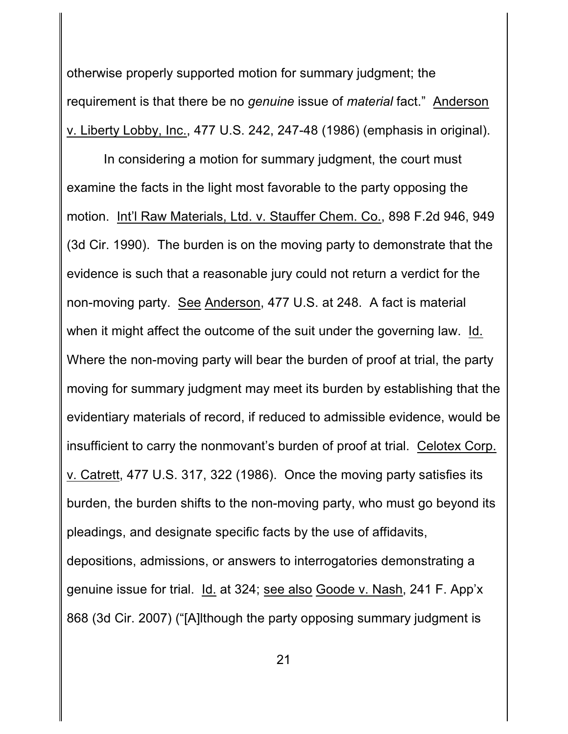otherwise properly supported motion for summary judgment; the requirement is that there be no *genuine* issue of *material* fact." Anderson v. Liberty Lobby, Inc., 477 U.S. 242, 247-48 (1986) (emphasis in original).

 In considering a motion for summary judgment, the court must examine the facts in the light most favorable to the party opposing the motion. Int'l Raw Materials, Ltd. v. Stauffer Chem. Co., 898 F.2d 946, 949 (3d Cir. 1990). The burden is on the moving party to demonstrate that the evidence is such that a reasonable jury could not return a verdict for the non-moving party. See Anderson, 477 U.S. at 248. A fact is material when it might affect the outcome of the suit under the governing law. Id. Where the non-moving party will bear the burden of proof at trial, the party moving for summary judgment may meet its burden by establishing that the evidentiary materials of record, if reduced to admissible evidence, would be insufficient to carry the nonmovant's burden of proof at trial. Celotex Corp. v. Catrett, 477 U.S. 317, 322 (1986). Once the moving party satisfies its burden, the burden shifts to the non-moving party, who must go beyond its pleadings, and designate specific facts by the use of affidavits, depositions, admissions, or answers to interrogatories demonstrating a genuine issue for trial. Id. at 324; see also Goode v. Nash, 241 F. App'x 868 (3d Cir. 2007) ("[A]lthough the party opposing summary judgment is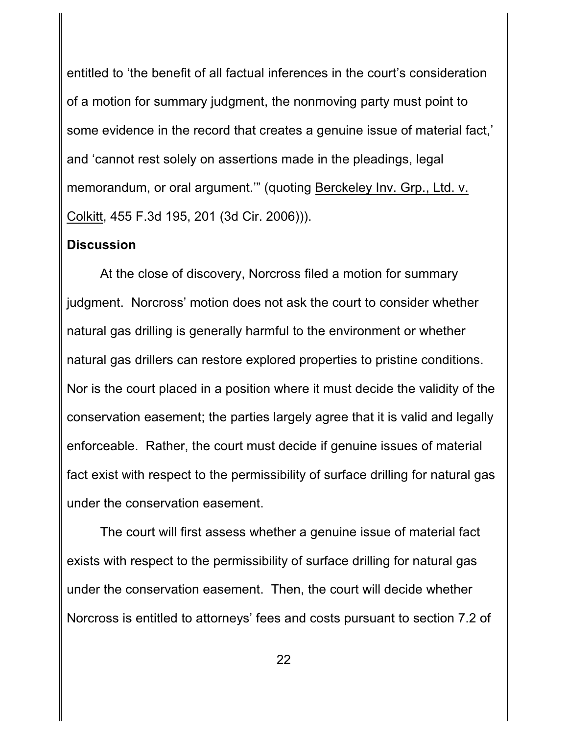entitled to 'the benefit of all factual inferences in the court's consideration of a motion for summary judgment, the nonmoving party must point to some evidence in the record that creates a genuine issue of material fact,' and 'cannot rest solely on assertions made in the pleadings, legal memorandum, or oral argument.'" (quoting Berckeley Inv. Grp., Ltd. v. Colkitt, 455 F.3d 195, 201 (3d Cir. 2006))).

#### **Discussion**

At the close of discovery, Norcross filed a motion for summary judgment. Norcross' motion does not ask the court to consider whether natural gas drilling is generally harmful to the environment or whether natural gas drillers can restore explored properties to pristine conditions. Nor is the court placed in a position where it must decide the validity of the conservation easement; the parties largely agree that it is valid and legally enforceable. Rather, the court must decide if genuine issues of material fact exist with respect to the permissibility of surface drilling for natural gas under the conservation easement.

The court will first assess whether a genuine issue of material fact exists with respect to the permissibility of surface drilling for natural gas under the conservation easement. Then, the court will decide whether Norcross is entitled to attorneys' fees and costs pursuant to section 7.2 of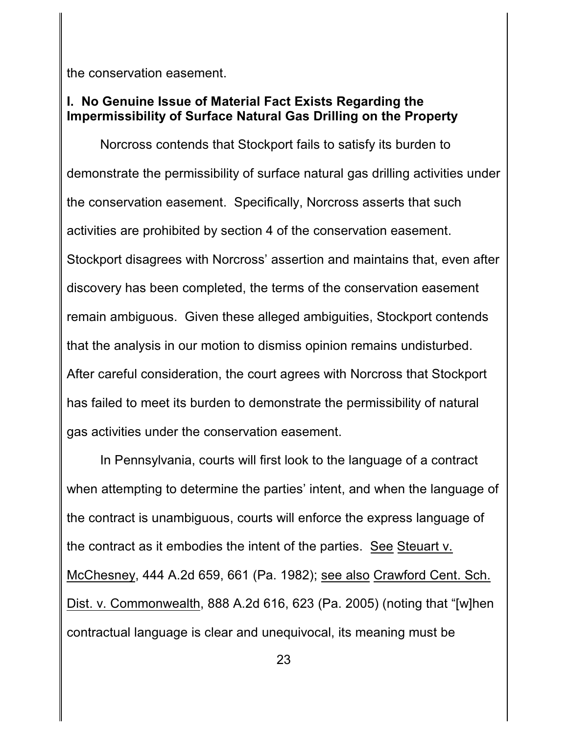the conservation easement.

# **I. No Genuine Issue of Material Fact Exists Regarding the Impermissibility of Surface Natural Gas Drilling on the Property**

Norcross contends that Stockport fails to satisfy its burden to demonstrate the permissibility of surface natural gas drilling activities under the conservation easement. Specifically, Norcross asserts that such activities are prohibited by section 4 of the conservation easement. Stockport disagrees with Norcross' assertion and maintains that, even after discovery has been completed, the terms of the conservation easement remain ambiguous. Given these alleged ambiguities, Stockport contends that the analysis in our motion to dismiss opinion remains undisturbed. After careful consideration, the court agrees with Norcross that Stockport has failed to meet its burden to demonstrate the permissibility of natural gas activities under the conservation easement.

In Pennsylvania, courts will first look to the language of a contract when attempting to determine the parties' intent, and when the language of the contract is unambiguous, courts will enforce the express language of the contract as it embodies the intent of the parties. See Steuart v. McChesney, 444 A.2d 659, 661 (Pa. 1982); see also Crawford Cent. Sch. Dist. v. Commonwealth, 888 A.2d 616, 623 (Pa. 2005) (noting that "[w]hen contractual language is clear and unequivocal, its meaning must be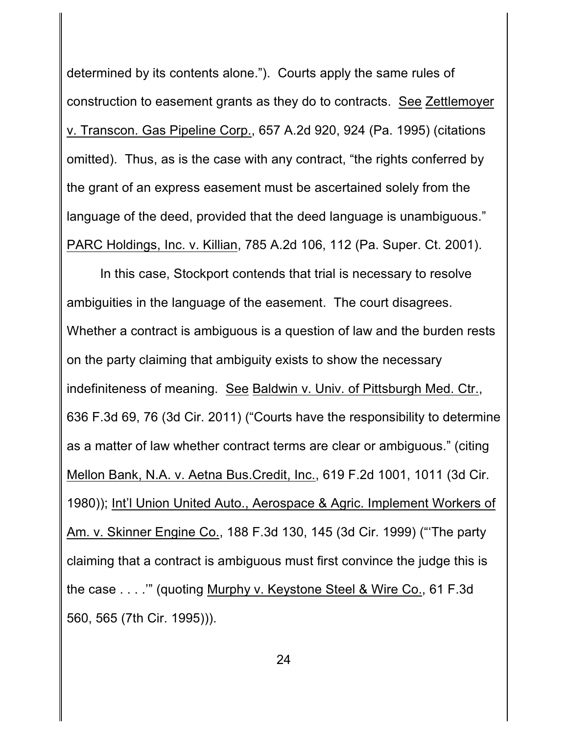determined by its contents alone."). Courts apply the same rules of construction to easement grants as they do to contracts. See Zettlemoyer v. Transcon. Gas Pipeline Corp., 657 A.2d 920, 924 (Pa. 1995) (citations omitted). Thus, as is the case with any contract, "the rights conferred by the grant of an express easement must be ascertained solely from the language of the deed, provided that the deed language is unambiguous." PARC Holdings, Inc. v. Killian, 785 A.2d 106, 112 (Pa. Super. Ct. 2001).

In this case, Stockport contends that trial is necessary to resolve ambiguities in the language of the easement. The court disagrees. Whether a contract is ambiguous is a question of law and the burden rests on the party claiming that ambiguity exists to show the necessary indefiniteness of meaning. See Baldwin v. Univ. of Pittsburgh Med. Ctr., 636 F.3d 69, 76 (3d Cir. 2011) ("Courts have the responsibility to determine as a matter of law whether contract terms are clear or ambiguous." (citing Mellon Bank, N.A. v. Aetna Bus.Credit, Inc., 619 F.2d 1001, 1011 (3d Cir. 1980)); Int'l Union United Auto., Aerospace & Agric. Implement Workers of Am. v. Skinner Engine Co., 188 F.3d 130, 145 (3d Cir. 1999) ("'The party claiming that a contract is ambiguous must first convince the judge this is the case . . . .'" (quoting Murphy v. Keystone Steel & Wire Co., 61 F.3d 560, 565 (7th Cir. 1995))).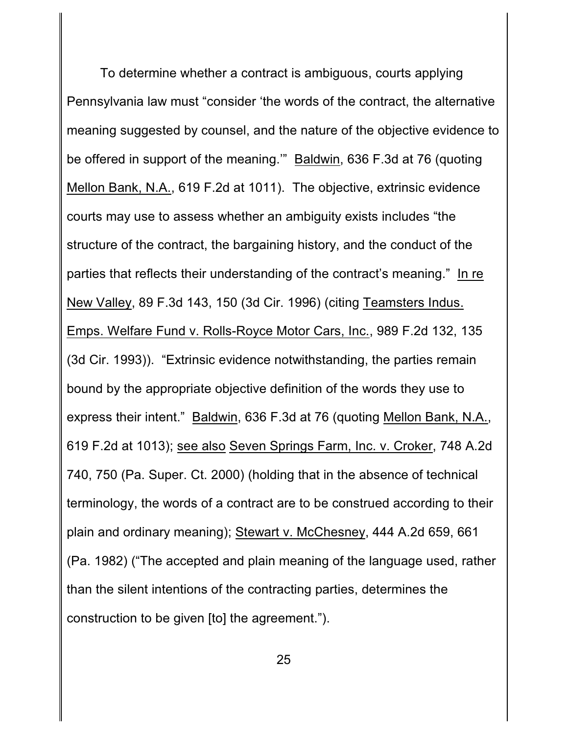To determine whether a contract is ambiguous, courts applying Pennsylvania law must "consider 'the words of the contract, the alternative meaning suggested by counsel, and the nature of the objective evidence to be offered in support of the meaning.'" Baldwin, 636 F.3d at 76 (quoting Mellon Bank, N.A., 619 F.2d at 1011). The objective, extrinsic evidence courts may use to assess whether an ambiguity exists includes "the structure of the contract, the bargaining history, and the conduct of the parties that reflects their understanding of the contract's meaning." In re New Valley, 89 F.3d 143, 150 (3d Cir. 1996) (citing Teamsters Indus. Emps. Welfare Fund v. Rolls-Royce Motor Cars, Inc., 989 F.2d 132, 135 (3d Cir. 1993)). "Extrinsic evidence notwithstanding, the parties remain bound by the appropriate objective definition of the words they use to express their intent." Baldwin, 636 F.3d at 76 (quoting Mellon Bank, N.A., 619 F.2d at 1013); see also Seven Springs Farm, Inc. v. Croker, 748 A.2d 740, 750 (Pa. Super. Ct. 2000) (holding that in the absence of technical terminology, the words of a contract are to be construed according to their plain and ordinary meaning); Stewart v. McChesney, 444 A.2d 659, 661 (Pa. 1982) ("The accepted and plain meaning of the language used, rather than the silent intentions of the contracting parties, determines the construction to be given [to] the agreement.").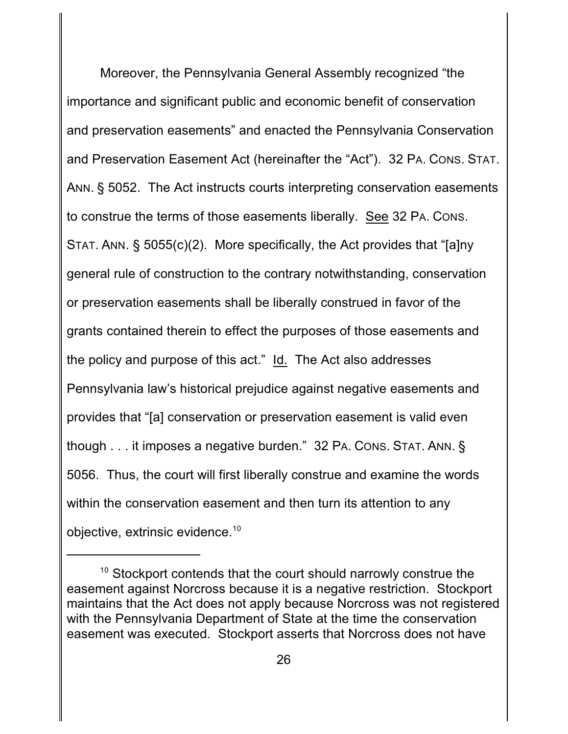Moreover, the Pennsylvania General Assembly recognized "the importance and significant public and economic benefit of conservation and preservation easements" and enacted the Pennsylvania Conservation and Preservation Easement Act (hereinafter the "Act"). 32 PA. CONS. STAT. ANN. § 5052. The Act instructs courts interpreting conservation easements to construe the terms of those easements liberally. See 32 PA. CONS. STAT. ANN. § 5055(c)(2). More specifically, the Act provides that "[a]ny general rule of construction to the contrary notwithstanding, conservation or preservation easements shall be liberally construed in favor of the grants contained therein to effect the purposes of those easements and the policy and purpose of this act." Id. The Act also addresses Pennsylvania law's historical prejudice against negative easements and provides that "[a] conservation or preservation easement is valid even though . . . it imposes a negative burden." 32 PA. CONS. STAT. ANN. § 5056. Thus, the court will first liberally construe and examine the words within the conservation easement and then turn its attention to any objective, extrinsic evidence.<sup>10</sup>

 $10$  Stockport contends that the court should narrowly construe the easement against Norcross because it is a negative restriction. Stockport maintains that the Act does not apply because Norcross was not registered with the Pennsylvania Department of State at the time the conservation easement was executed. Stockport asserts that Norcross does not have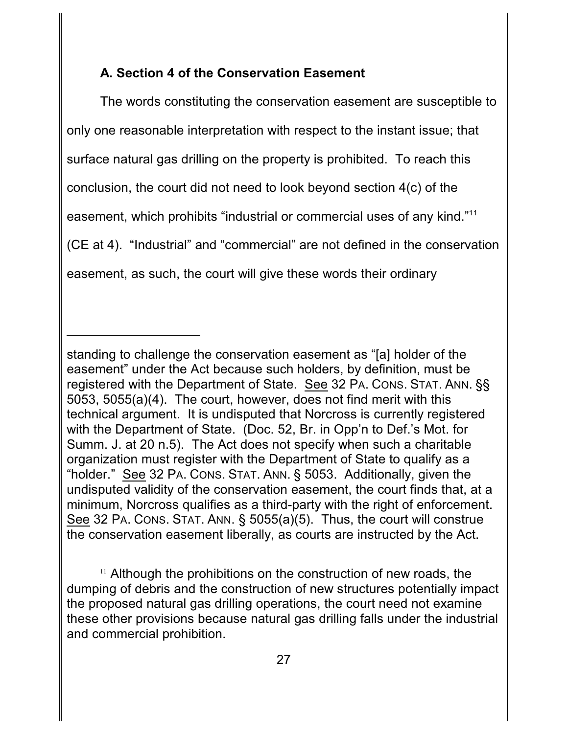### **A. Section 4 of the Conservation Easement**

The words constituting the conservation easement are susceptible to only one reasonable interpretation with respect to the instant issue; that surface natural gas drilling on the property is prohibited. To reach this conclusion, the court did not need to look beyond section 4(c) of the easement, which prohibits "industrial or commercial uses of any kind."<sup>11</sup> (CE at 4). "Industrial" and "commercial" are not defined in the conservation easement, as such, the court will give these words their ordinary

<sup>11</sup> Although the prohibitions on the construction of new roads, the dumping of debris and the construction of new structures potentially impact the proposed natural gas drilling operations, the court need not examine these other provisions because natural gas drilling falls under the industrial and commercial prohibition.

standing to challenge the conservation easement as "[a] holder of the easement" under the Act because such holders, by definition, must be registered with the Department of State. See 32 PA. CONS. STAT. ANN. §§ 5053, 5055(a)(4). The court, however, does not find merit with this technical argument. It is undisputed that Norcross is currently registered with the Department of State. (Doc. 52, Br. in Opp'n to Def.'s Mot. for Summ. J. at 20 n.5). The Act does not specify when such a charitable organization must register with the Department of State to qualify as a "holder." See 32 PA. CONS. STAT. ANN. § 5053. Additionally, given the undisputed validity of the conservation easement, the court finds that, at a minimum, Norcross qualifies as a third-party with the right of enforcement. See 32 PA. CONS. STAT. ANN. § 5055(a)(5). Thus, the court will construe the conservation easement liberally, as courts are instructed by the Act.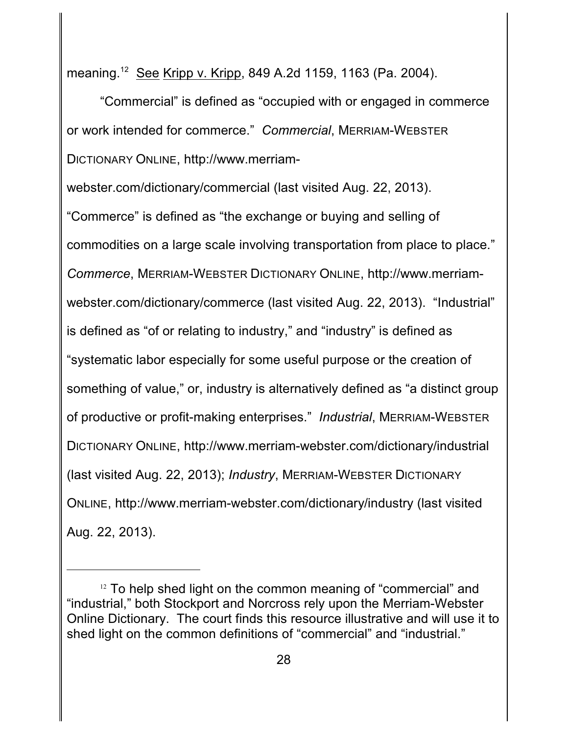meaning.<sup>12</sup> See Kripp v. Kripp, 849 A.2d 1159, 1163 (Pa. 2004).

"Commercial" is defined as "occupied with or engaged in commerce or work intended for commerce." *Commercial*, MERRIAM-WEBSTER DICTIONARY ONLINE, http://www.merriam-

webster.com/dictionary/commercial (last visited Aug. 22, 2013).

"Commerce" is defined as "the exchange or buying and selling of commodities on a large scale involving transportation from place to place." *Commerce*, MERRIAM-WEBSTER DICTIONARY ONLINE, http://www.merriamwebster.com/dictionary/commerce (last visited Aug. 22, 2013). "Industrial" is defined as "of or relating to industry," and "industry" is defined as "systematic labor especially for some useful purpose or the creation of something of value," or, industry is alternatively defined as "a distinct group of productive or profit-making enterprises." *Industrial*, MERRIAM-WEBSTER DICTIONARY ONLINE, http://www.merriam-webster.com/dictionary/industrial (last visited Aug. 22, 2013); *Industry*, MERRIAM-WEBSTER DICTIONARY ONLINE, http://www.merriam-webster.com/dictionary/industry (last visited Aug. 22, 2013).

 $12$  To help shed light on the common meaning of "commercial" and "industrial," both Stockport and Norcross rely upon the Merriam-Webster Online Dictionary. The court finds this resource illustrative and will use it to shed light on the common definitions of "commercial" and "industrial."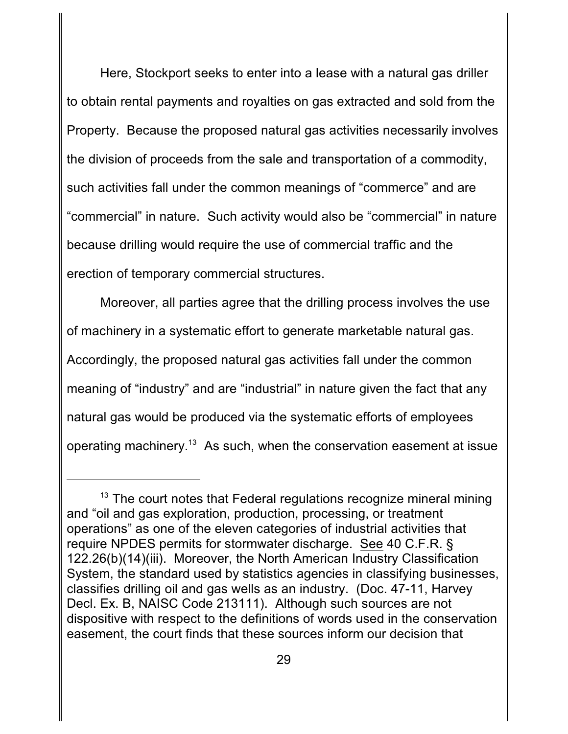Here, Stockport seeks to enter into a lease with a natural gas driller to obtain rental payments and royalties on gas extracted and sold from the Property. Because the proposed natural gas activities necessarily involves the division of proceeds from the sale and transportation of a commodity, such activities fall under the common meanings of "commerce" and are "commercial" in nature. Such activity would also be "commercial" in nature because drilling would require the use of commercial traffic and the erection of temporary commercial structures.

Moreover, all parties agree that the drilling process involves the use of machinery in a systematic effort to generate marketable natural gas. Accordingly, the proposed natural gas activities fall under the common meaning of "industry" and are "industrial" in nature given the fact that any natural gas would be produced via the systematic efforts of employees operating machinery. $^{13}$  As such, when the conservation easement at issue

 $13$  The court notes that Federal regulations recognize mineral mining and "oil and gas exploration, production, processing, or treatment operations" as one of the eleven categories of industrial activities that require NPDES permits for stormwater discharge. See 40 C.F.R. § 122.26(b)(14)(iii). Moreover, the North American Industry Classification System, the standard used by statistics agencies in classifying businesses, classifies drilling oil and gas wells as an industry. (Doc. 47-11, Harvey Decl. Ex. B, NAISC Code 213111). Although such sources are not dispositive with respect to the definitions of words used in the conservation easement, the court finds that these sources inform our decision that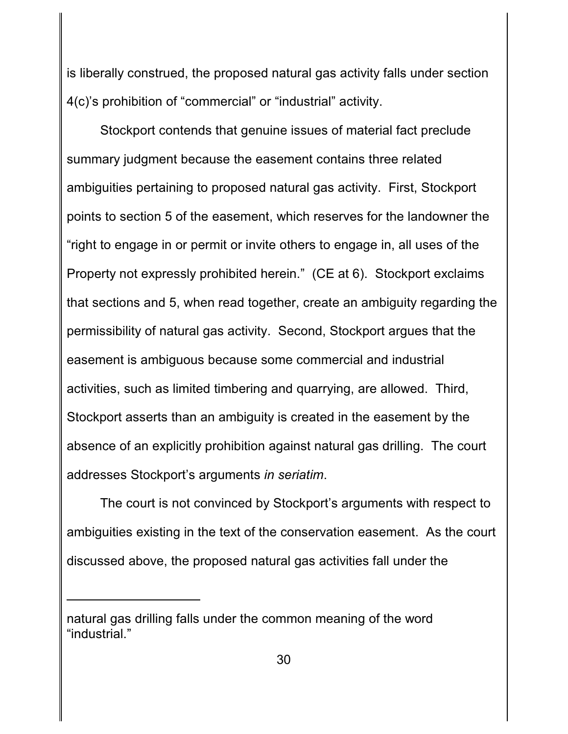is liberally construed, the proposed natural gas activity falls under section 4(c)'s prohibition of "commercial" or "industrial" activity.

Stockport contends that genuine issues of material fact preclude summary judgment because the easement contains three related ambiguities pertaining to proposed natural gas activity. First, Stockport points to section 5 of the easement, which reserves for the landowner the "right to engage in or permit or invite others to engage in, all uses of the Property not expressly prohibited herein." (CE at 6). Stockport exclaims that sections and 5, when read together, create an ambiguity regarding the permissibility of natural gas activity. Second, Stockport argues that the easement is ambiguous because some commercial and industrial activities, such as limited timbering and quarrying, are allowed. Third, Stockport asserts than an ambiguity is created in the easement by the absence of an explicitly prohibition against natural gas drilling. The court addresses Stockport's arguments *in seriatim*.

The court is not convinced by Stockport's arguments with respect to ambiguities existing in the text of the conservation easement. As the court discussed above, the proposed natural gas activities fall under the

natural gas drilling falls under the common meaning of the word "industrial."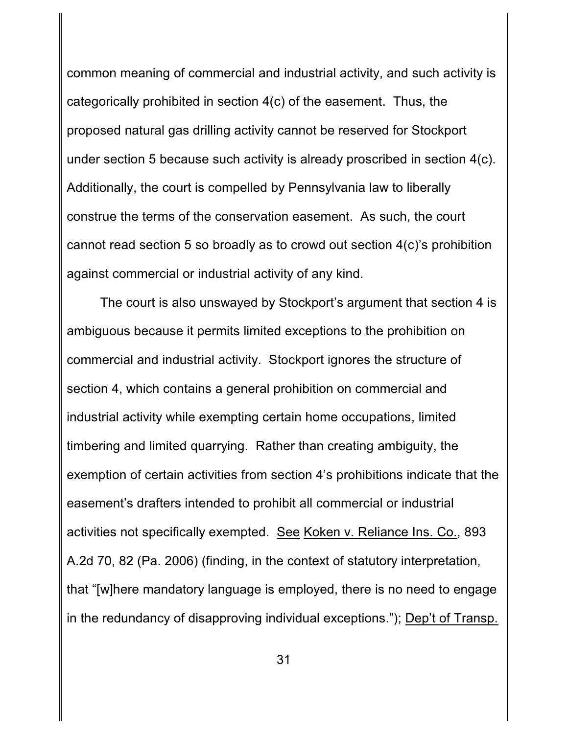common meaning of commercial and industrial activity, and such activity is categorically prohibited in section 4(c) of the easement. Thus, the proposed natural gas drilling activity cannot be reserved for Stockport under section 5 because such activity is already proscribed in section 4(c). Additionally, the court is compelled by Pennsylvania law to liberally construe the terms of the conservation easement. As such, the court cannot read section 5 so broadly as to crowd out section 4(c)'s prohibition against commercial or industrial activity of any kind.

The court is also unswayed by Stockport's argument that section 4 is ambiguous because it permits limited exceptions to the prohibition on commercial and industrial activity. Stockport ignores the structure of section 4, which contains a general prohibition on commercial and industrial activity while exempting certain home occupations, limited timbering and limited quarrying. Rather than creating ambiguity, the exemption of certain activities from section 4's prohibitions indicate that the easement's drafters intended to prohibit all commercial or industrial activities not specifically exempted. See Koken v. Reliance Ins. Co., 893 A.2d 70, 82 (Pa. 2006) (finding, in the context of statutory interpretation, that "[w]here mandatory language is employed, there is no need to engage in the redundancy of disapproving individual exceptions."); Dep't of Transp.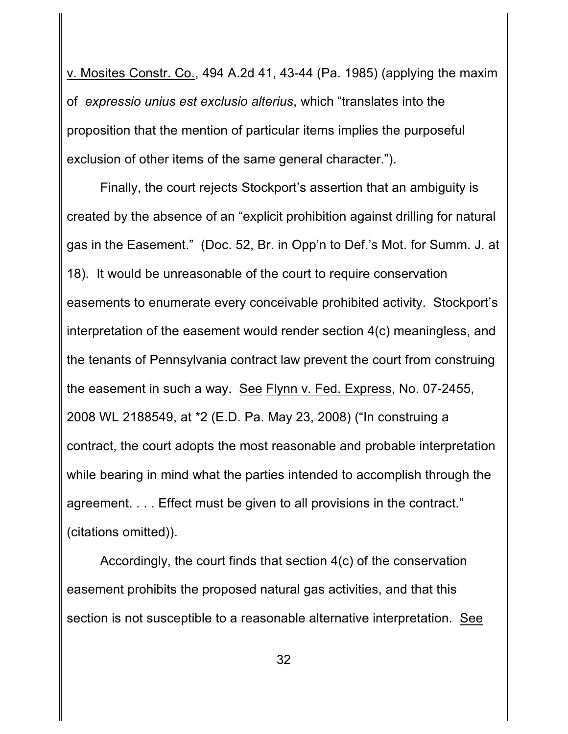v. Mosites Constr. Co., 494 A.2d 41, 43-44 (Pa. 1985) (applying the maxim of *expressio unius est exclusio alterius*, which "translates into the proposition that the mention of particular items implies the purposeful exclusion of other items of the same general character.").

Finally, the court rejects Stockport's assertion that an ambiguity is created by the absence of an "explicit prohibition against drilling for natural gas in the Easement." (Doc. 52, Br. in Opp'n to Def.'s Mot. for Summ. J. at 18). It would be unreasonable of the court to require conservation easements to enumerate every conceivable prohibited activity. Stockport's interpretation of the easement would render section 4(c) meaningless, and the tenants of Pennsylvania contract law prevent the court from construing the easement in such a way. See Flynn v. Fed. Express, No. 07-2455, 2008 WL 2188549, at \*2 (E.D. Pa. May 23, 2008) ("In construing a contract, the court adopts the most reasonable and probable interpretation while bearing in mind what the parties intended to accomplish through the agreement. . . . Effect must be given to all provisions in the contract." (citations omitted)).

Accordingly, the court finds that section 4(c) of the conservation easement prohibits the proposed natural gas activities, and that this section is not susceptible to a reasonable alternative interpretation. See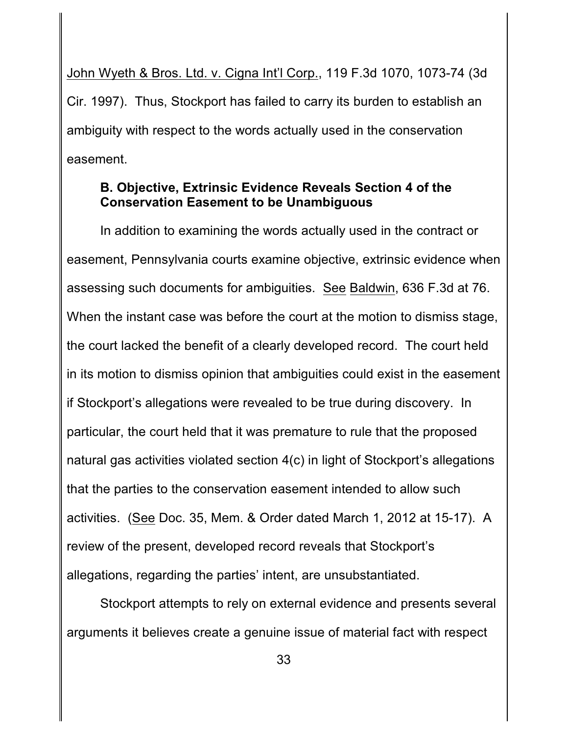John Wyeth & Bros. Ltd. v. Cigna Int'l Corp., 119 F.3d 1070, 1073-74 (3d Cir. 1997). Thus, Stockport has failed to carry its burden to establish an ambiguity with respect to the words actually used in the conservation easement.

## **B. Objective, Extrinsic Evidence Reveals Section 4 of the Conservation Easement to be Unambiguous**

In addition to examining the words actually used in the contract or easement, Pennsylvania courts examine objective, extrinsic evidence when assessing such documents for ambiguities. See Baldwin, 636 F.3d at 76. When the instant case was before the court at the motion to dismiss stage, the court lacked the benefit of a clearly developed record. The court held in its motion to dismiss opinion that ambiguities could exist in the easement if Stockport's allegations were revealed to be true during discovery. In particular, the court held that it was premature to rule that the proposed natural gas activities violated section 4(c) in light of Stockport's allegations that the parties to the conservation easement intended to allow such activities. (See Doc. 35, Mem. & Order dated March 1, 2012 at 15-17). A review of the present, developed record reveals that Stockport's allegations, regarding the parties' intent, are unsubstantiated.

Stockport attempts to rely on external evidence and presents several arguments it believes create a genuine issue of material fact with respect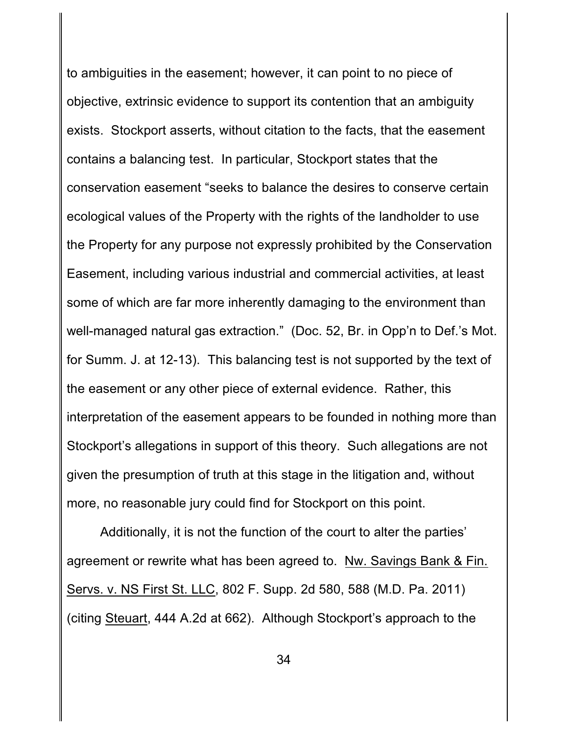to ambiguities in the easement; however, it can point to no piece of objective, extrinsic evidence to support its contention that an ambiguity exists. Stockport asserts, without citation to the facts, that the easement contains a balancing test. In particular, Stockport states that the conservation easement "seeks to balance the desires to conserve certain ecological values of the Property with the rights of the landholder to use the Property for any purpose not expressly prohibited by the Conservation Easement, including various industrial and commercial activities, at least some of which are far more inherently damaging to the environment than well-managed natural gas extraction." (Doc. 52, Br. in Opp'n to Def.'s Mot. for Summ. J. at 12-13). This balancing test is not supported by the text of the easement or any other piece of external evidence. Rather, this interpretation of the easement appears to be founded in nothing more than Stockport's allegations in support of this theory. Such allegations are not given the presumption of truth at this stage in the litigation and, without more, no reasonable jury could find for Stockport on this point.

Additionally, it is not the function of the court to alter the parties' agreement or rewrite what has been agreed to. Nw. Savings Bank & Fin. Servs. v. NS First St. LLC, 802 F. Supp. 2d 580, 588 (M.D. Pa. 2011) (citing Steuart, 444 A.2d at 662). Although Stockport's approach to the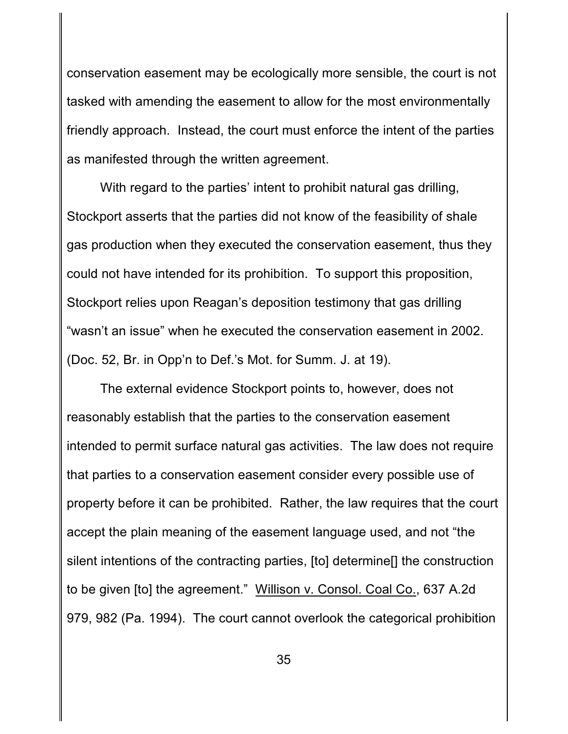conservation easement may be ecologically more sensible, the court is not tasked with amending the easement to allow for the most environmentally friendly approach. Instead, the court must enforce the intent of the parties as manifested through the written agreement.

With regard to the parties' intent to prohibit natural gas drilling, Stockport asserts that the parties did not know of the feasibility of shale gas production when they executed the conservation easement, thus they could not have intended for its prohibition. To support this proposition, Stockport relies upon Reagan's deposition testimony that gas drilling "wasn't an issue" when he executed the conservation easement in 2002. (Doc. 52, Br. in Opp'n to Def.'s Mot. for Summ. J. at 19).

The external evidence Stockport points to, however, does not reasonably establish that the parties to the conservation easement intended to permit surface natural gas activities. The law does not require that parties to a conservation easement consider every possible use of property before it can be prohibited. Rather, the law requires that the court accept the plain meaning of the easement language used, and not "the silent intentions of the contracting parties, [to] determine[] the construction to be given [to] the agreement." Willison v. Consol. Coal Co., 637 A.2d 979, 982 (Pa. 1994). The court cannot overlook the categorical prohibition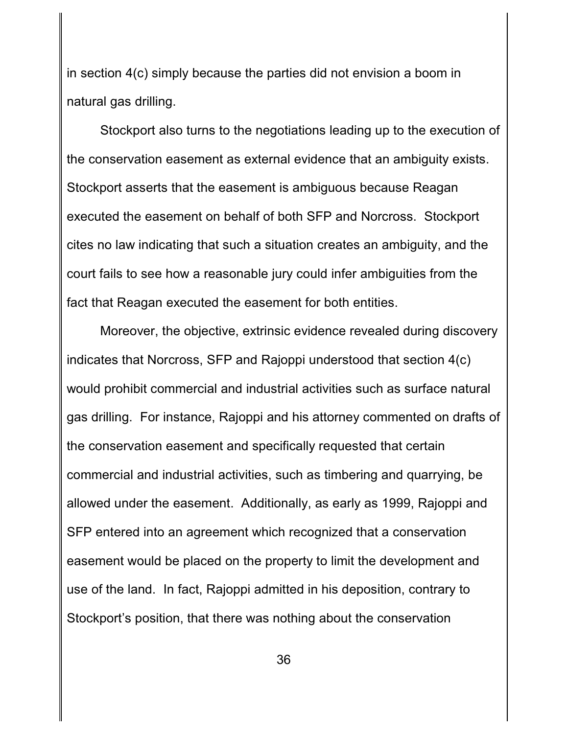in section 4(c) simply because the parties did not envision a boom in natural gas drilling.

Stockport also turns to the negotiations leading up to the execution of the conservation easement as external evidence that an ambiguity exists. Stockport asserts that the easement is ambiguous because Reagan executed the easement on behalf of both SFP and Norcross. Stockport cites no law indicating that such a situation creates an ambiguity, and the court fails to see how a reasonable jury could infer ambiguities from the fact that Reagan executed the easement for both entities.

Moreover, the objective, extrinsic evidence revealed during discovery indicates that Norcross, SFP and Rajoppi understood that section 4(c) would prohibit commercial and industrial activities such as surface natural gas drilling. For instance, Rajoppi and his attorney commented on drafts of the conservation easement and specifically requested that certain commercial and industrial activities, such as timbering and quarrying, be allowed under the easement. Additionally, as early as 1999, Rajoppi and SFP entered into an agreement which recognized that a conservation easement would be placed on the property to limit the development and use of the land. In fact, Rajoppi admitted in his deposition, contrary to Stockport's position, that there was nothing about the conservation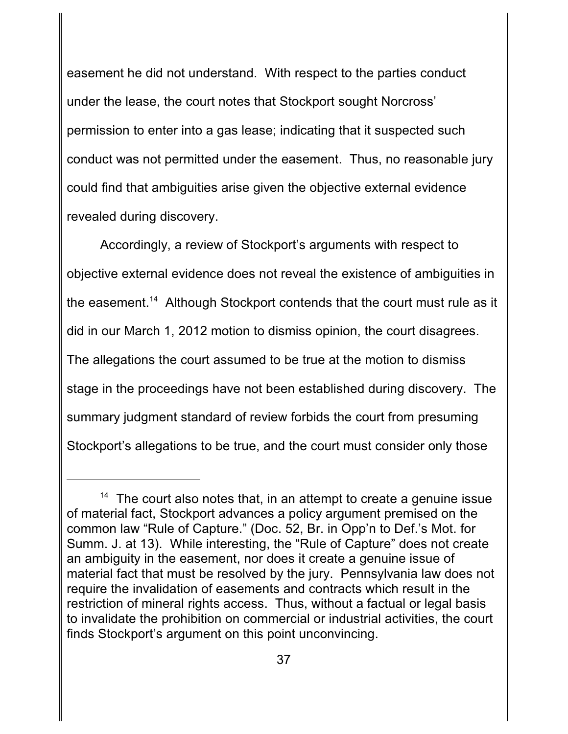easement he did not understand. With respect to the parties conduct under the lease, the court notes that Stockport sought Norcross' permission to enter into a gas lease; indicating that it suspected such conduct was not permitted under the easement. Thus, no reasonable jury could find that ambiguities arise given the objective external evidence revealed during discovery.

Accordingly, a review of Stockport's arguments with respect to objective external evidence does not reveal the existence of ambiguities in the easement.<sup>14</sup> Although Stockport contends that the court must rule as it did in our March 1, 2012 motion to dismiss opinion, the court disagrees. The allegations the court assumed to be true at the motion to dismiss stage in the proceedings have not been established during discovery. The summary judgment standard of review forbids the court from presuming Stockport's allegations to be true, and the court must consider only those

 $14$  The court also notes that, in an attempt to create a genuine issue of material fact, Stockport advances a policy argument premised on the common law "Rule of Capture." (Doc. 52, Br. in Opp'n to Def.'s Mot. for Summ. J. at 13). While interesting, the "Rule of Capture" does not create an ambiguity in the easement, nor does it create a genuine issue of material fact that must be resolved by the jury. Pennsylvania law does not require the invalidation of easements and contracts which result in the restriction of mineral rights access. Thus, without a factual or legal basis to invalidate the prohibition on commercial or industrial activities, the court finds Stockport's argument on this point unconvincing.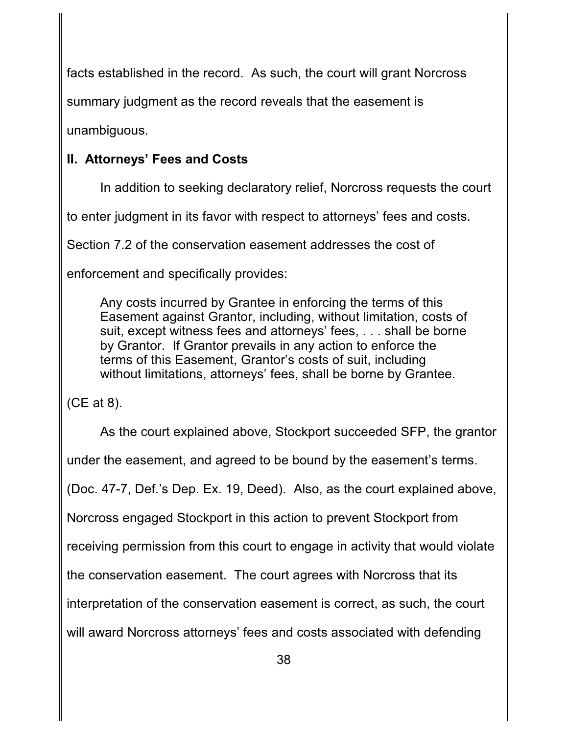facts established in the record. As such, the court will grant Norcross

summary judgment as the record reveals that the easement is

unambiguous.

# **II. Attorneys' Fees and Costs**

In addition to seeking declaratory relief, Norcross requests the court

to enter judgment in its favor with respect to attorneys' fees and costs.

Section 7.2 of the conservation easement addresses the cost of

enforcement and specifically provides:

Any costs incurred by Grantee in enforcing the terms of this Easement against Grantor, including, without limitation, costs of suit, except witness fees and attorneys' fees, . . . shall be borne by Grantor. If Grantor prevails in any action to enforce the terms of this Easement, Grantor's costs of suit, including without limitations, attorneys' fees, shall be borne by Grantee.

(CE at 8).

As the court explained above, Stockport succeeded SFP, the grantor under the easement, and agreed to be bound by the easement's terms. (Doc. 47-7, Def.'s Dep. Ex. 19, Deed). Also, as the court explained above, Norcross engaged Stockport in this action to prevent Stockport from receiving permission from this court to engage in activity that would violate the conservation easement. The court agrees with Norcross that its interpretation of the conservation easement is correct, as such, the court will award Norcross attorneys' fees and costs associated with defending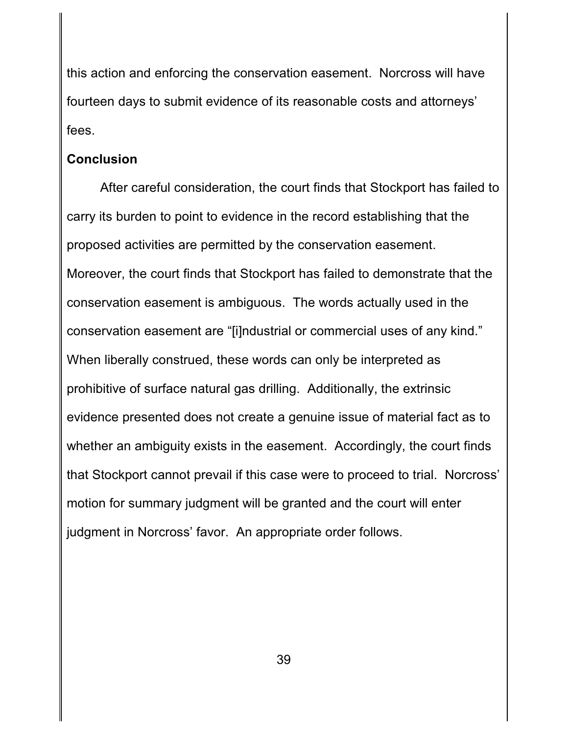this action and enforcing the conservation easement. Norcross will have fourteen days to submit evidence of its reasonable costs and attorneys' fees.

### **Conclusion**

After careful consideration, the court finds that Stockport has failed to carry its burden to point to evidence in the record establishing that the proposed activities are permitted by the conservation easement. Moreover, the court finds that Stockport has failed to demonstrate that the conservation easement is ambiguous. The words actually used in the conservation easement are "[i]ndustrial or commercial uses of any kind." When liberally construed, these words can only be interpreted as prohibitive of surface natural gas drilling. Additionally, the extrinsic evidence presented does not create a genuine issue of material fact as to whether an ambiguity exists in the easement. Accordingly, the court finds that Stockport cannot prevail if this case were to proceed to trial. Norcross' motion for summary judgment will be granted and the court will enter judgment in Norcross' favor. An appropriate order follows.